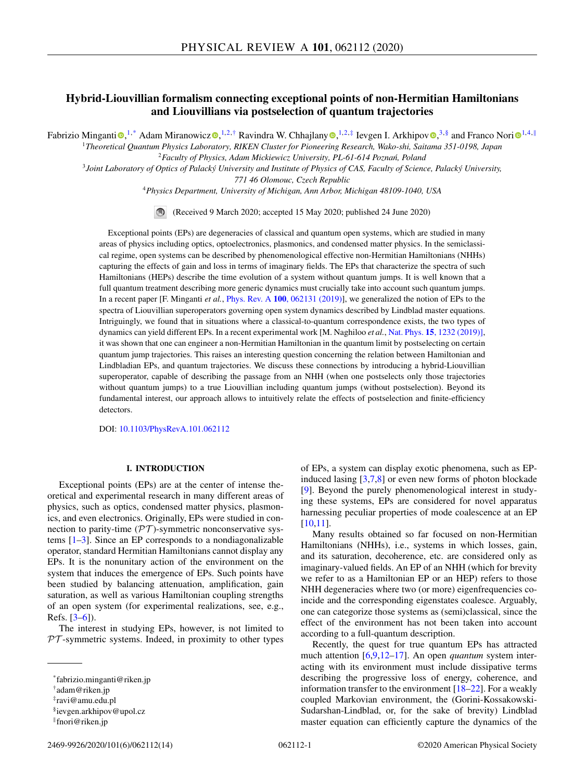# **Hybrid-Liouvillian formalism connecting exceptional points of non-Hermitian Hamiltonians and Liouvillians via postselection of quantum trajectories**

Fabr[i](https://orcid.org/0000-0003-3682-7432)zio Minganti <sup>®[,](https://orcid.org/0000-0003-1069-7924) 1,\*</sup> Adam Miranowicz ®, <sup>1, 2,†</sup> Ra[v](https://orcid.org/0000-0001-6547-8855)indra W. Chhajlany ®, <sup>1, 2,‡</sup> Ievgen I. Arkhipov ®, <sup>3, §</sup> and Franco Nori ®<sup>1, 4, ||</sup>

<sup>1</sup>*Theoretical Quantum Physics Laboratory, RIKEN Cluster for Pioneering Research, Wako-shi, Saitama 351-0198, Japan* <sup>2</sup> Faculty of Physics, Adam Mickiewicz University, PL-61-614 Poznań, Poland

<sup>3</sup>*Joint Laboratory of Optics of Palacký University and Institute of Physics of CAS, Faculty of Science, Palacký University,*

*771 46 Olomouc, Czech Republic*

<sup>4</sup>*Physics Department, University of Michigan, Ann Arbor, Michigan 48109-1040, USA*

(Received 9 March 2020; accepted 15 May 2020; published 24 June 2020)

Exceptional points (EPs) are degeneracies of classical and quantum open systems, which are studied in many areas of physics including optics, optoelectronics, plasmonics, and condensed matter physics. In the semiclassical regime, open systems can be described by phenomenological effective non-Hermitian Hamiltonians (NHHs) capturing the effects of gain and loss in terms of imaginary fields. The EPs that characterize the spectra of such Hamiltonians (HEPs) describe the time evolution of a system without quantum jumps. It is well known that a full quantum treatment describing more generic dynamics must crucially take into account such quantum jumps. In a recent paper [F. Minganti *et al.*, Phys. Rev. A **100**[, 062131 \(2019\)\]](https://doi.org/10.1103/PhysRevA.100.062131), we generalized the notion of EPs to the spectra of Liouvillian superoperators governing open system dynamics described by Lindblad master equations. Intriguingly, we found that in situations where a classical-to-quantum correspondence exists, the two types of dynamics can yield different EPs. In a recent experimental work [M. Naghiloo *et al.*, Nat. Phys. **15**[, 1232 \(2019\)\],](https://doi.org/10.1038/s41567-019-0652-z) it was shown that one can engineer a non-Hermitian Hamiltonian in the quantum limit by postselecting on certain quantum jump trajectories. This raises an interesting question concerning the relation between Hamiltonian and Lindbladian EPs, and quantum trajectories. We discuss these connections by introducing a hybrid-Liouvillian superoperator, capable of describing the passage from an NHH (when one postselects only those trajectories without quantum jumps) to a true Liouvillian including quantum jumps (without postselection). Beyond its fundamental interest, our approach allows to intuitively relate the effects of postselection and finite-efficiency detectors.

DOI: [10.1103/PhysRevA.101.062112](https://doi.org/10.1103/PhysRevA.101.062112)

# **I. INTRODUCTION**

Exceptional points (EPs) are at the center of intense theoretical and experimental research in many different areas of physics, such as optics, condensed matter physics, plasmonics, and even electronics. Originally, EPs were studied in connection to parity-time  $(\mathcal{PT})$ -symmetric nonconservative systems [\[1–3\]](#page-11-0). Since an EP corresponds to a nondiagonalizable operator, standard Hermitian Hamiltonians cannot display any EPs. It is the nonunitary action of the environment on the system that induces the emergence of EPs. Such points have been studied by balancing attenuation, amplification, gain saturation, as well as various Hamiltonian coupling strengths of an open system (for experimental realizations, see, e.g., Refs. [\[3–6\]](#page-11-0)).

The interest in studying EPs, however, is not limited to  $PT$ -symmetric systems. Indeed, in proximity to other types of EPs, a system can display exotic phenomena, such as EPinduced lasing [\[3,7,8\]](#page-11-0) or even new forms of photon blockade [\[9\]](#page-11-0). Beyond the purely phenomenological interest in studying these systems, EPs are considered for novel apparatus harnessing peculiar properties of mode coalescence at an EP [\[10,11\]](#page-11-0).

Many results obtained so far focused on non-Hermitian Hamiltonians (NHHs), i.e., systems in which losses, gain, and its saturation, decoherence, etc. are considered only as imaginary-valued fields. An EP of an NHH (which for brevity we refer to as a Hamiltonian EP or an HEP) refers to those NHH degeneracies where two (or more) eigenfrequencies coincide and the corresponding eigenstates coalesce. Arguably, one can categorize those systems as (semi)classical, since the effect of the environment has not been taken into account according to a full-quantum description.

Recently, the quest for true quantum EPs has attracted much attention [\[6,9,12](#page-11-0)[–17\]](#page-12-0). An open *quantum* system interacting with its environment must include dissipative terms describing the progressive loss of energy, coherence, and information transfer to the environment [\[18–22\]](#page-12-0). For a weakly coupled Markovian environment, the (Gorini-Kossakowski-Sudarshan-Lindblad, or, for the sake of brevity) Lindblad master equation can efficiently capture the dynamics of the

<sup>\*</sup>fabrizio.minganti@riken.jp

<sup>†</sup>adam@riken.jp

<sup>‡</sup>ravi@amu.edu.pl

<sup>§</sup>ievgen.arkhipov@upol.cz

<sup>-</sup>fnori@riken.jp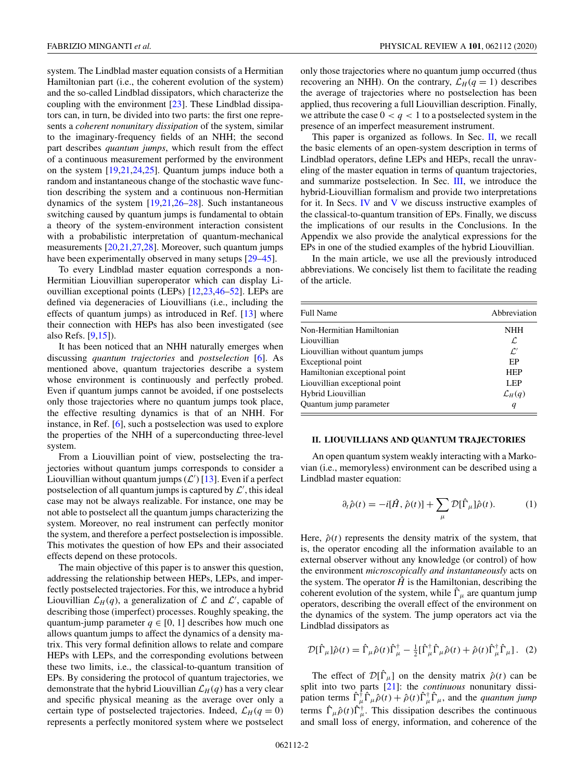<span id="page-1-0"></span>system. The Lindblad master equation consists of a Hermitian Hamiltonian part (i.e., the coherent evolution of the system) and the so-called Lindblad dissipators, which characterize the coupling with the environment [\[23\]](#page-12-0). These Lindblad dissipators can, in turn, be divided into two parts: the first one represents a *coherent nonunitary dissipation* of the system, similar to the imaginary-frequency fields of an NHH; the second part describes *quantum jumps*, which result from the effect of a continuous measurement performed by the environment on the system [\[19,21,24,25\]](#page-12-0). Quantum jumps induce both a random and instantaneous change of the stochastic wave function describing the system and a continuous non-Hermitian dynamics of the system [\[19,21,26–28\]](#page-12-0). Such instantaneous switching caused by quantum jumps is fundamental to obtain a theory of the system-environment interaction consistent with a probabilistic interpretation of quantum-mechanical measurements [\[20,21,27,28\]](#page-12-0). Moreover, such quantum jumps have been experimentally observed in many setups [\[29–45\]](#page-12-0).

To every Lindblad master equation corresponds a non-Hermitian Liouvillian superoperator which can display Liouvillian exceptional points (LEPs) [\[12](#page-11-0)[,23,46](#page-12-0)[–52\]](#page-13-0). LEPs are defined via degeneracies of Liouvillians (i.e., including the effects of quantum jumps) as introduced in Ref. [\[13\]](#page-11-0) where their connection with HEPs has also been investigated (see also Refs. [\[9,](#page-11-0)[15\]](#page-12-0)).

It has been noticed that an NHH naturally emerges when discussing *quantum trajectories* and *postselection* [\[6\]](#page-11-0). As mentioned above, quantum trajectories describe a system whose environment is continuously and perfectly probed. Even if quantum jumps cannot be avoided, if one postselects only those trajectories where no quantum jumps took place, the effective resulting dynamics is that of an NHH. For instance, in Ref. [\[6\]](#page-11-0), such a postselection was used to explore the properties of the NHH of a superconducting three-level system.

From a Liouvillian point of view, postselecting the trajectories without quantum jumps corresponds to consider a Liouvillian without quantum jumps  $(\mathcal{L}')$  [\[13\]](#page-11-0). Even if a perfect postselection of all quantum jumps is captured by  $\mathcal{L}^\prime$ , this ideal case may not be always realizable. For instance, one may be not able to postselect all the quantum jumps characterizing the system. Moreover, no real instrument can perfectly monitor the system, and therefore a perfect postselection is impossible. This motivates the question of how EPs and their associated effects depend on these protocols.

The main objective of this paper is to answer this question, addressing the relationship between HEPs, LEPs, and imperfectly postselected trajectories. For this, we introduce a hybrid Liouvillian  $\mathcal{L}_H(q)$ , a generalization of  $\mathcal L$  and  $\mathcal L'$ , capable of describing those (imperfect) processes. Roughly speaking, the quantum-jump parameter  $q \in [0, 1]$  describes how much one allows quantum jumps to affect the dynamics of a density matrix. This very formal definition allows to relate and compare HEPs with LEPs, and the corresponding evolutions between these two limits, i.e., the classical-to-quantum transition of EPs. By considering the protocol of quantum trajectories, we demonstrate that the hybrid Liouvillian  $\mathcal{L}_H(q)$  has a very clear and specific physical meaning as the average over only a certain type of postselected trajectories. Indeed,  $\mathcal{L}_H(q=0)$ represents a perfectly monitored system where we postselect

only those trajectories where no quantum jump occurred (thus recovering an NHH). On the contrary,  $\mathcal{L}_H(q = 1)$  describes the average of trajectories where no postselection has been applied, thus recovering a full Liouvillian description. Finally, we attribute the case  $0 < q < 1$  to a postselected system in the presence of an imperfect measurement instrument.

This paper is organized as follows. In Sec. II, we recall the basic elements of an open-system description in terms of Lindblad operators, define LEPs and HEPs, recall the unraveling of the master equation in terms of quantum trajectories, and summarize postselection. In Sec. [III,](#page-3-0) we introduce the hybrid-Liouvillian formalism and provide two interpretations for it. In Secs. [IV](#page-5-0) and [V](#page-7-0) we discuss instructive examples of the classical-to-quantum transition of EPs. Finally, we discuss the implications of our results in the Conclusions. In the Appendix we also provide the analytical expressions for the EPs in one of the studied examples of the hybrid Liouvillian.

In the main article, we use all the previously introduced abbreviations. We concisely list them to facilitate the reading of the article.

| <b>Full Name</b>                  | Abbreviation       |
|-----------------------------------|--------------------|
| Non-Hermitian Hamiltonian         | <b>NHH</b>         |
| Liouvillian                       | L                  |
| Liouvillian without quantum jumps | $\mathcal{L}'$     |
| Exceptional point                 | EP                 |
| Hamiltonian exceptional point     | <b>HEP</b>         |
| Liouvillian exceptional point     | <b>LEP</b>         |
| Hybrid Liouvillian                | $\mathcal{L}_H(q)$ |
| Quantum jump parameter            | q                  |

### **II. LIOUVILLIANS AND QUANTUM TRAJECTORIES**

An open quantum system weakly interacting with a Markovian (i.e., memoryless) environment can be described using a Lindblad master equation:

$$
\partial_t \hat{\rho}(t) = -i[\hat{H}, \hat{\rho}(t)] + \sum_{\mu} \mathcal{D}[\hat{\Gamma}_{\mu}]\hat{\rho}(t). \tag{1}
$$

Here,  $\hat{\rho}(t)$  represents the density matrix of the system, that is, the operator encoding all the information available to an external observer without any knowledge (or control) of how the environment *microscopically and instantaneously* acts on the system. The operator  $\hat{H}$  is the Hamiltonian, describing the coherent evolution of the system, while  $\hat{\Gamma}_{\mu}$  are quantum jump operators, describing the overall effect of the environment on the dynamics of the system. The jump operators act via the Lindblad dissipators as

$$
\mathcal{D}[\hat{\Gamma}_{\mu}]\hat{\rho}(t) = \hat{\Gamma}_{\mu}\hat{\rho}(t)\hat{\Gamma}_{\mu}^{\dagger} - \frac{1}{2}[\hat{\Gamma}_{\mu}^{\dagger}\hat{\Gamma}_{\mu}\hat{\rho}(t) + \hat{\rho}(t)\hat{\Gamma}_{\mu}^{\dagger}\hat{\Gamma}_{\mu}].
$$
 (2)

The effect of  $\mathcal{D}[\hat{\Gamma}_{\mu}]$  on the density matrix  $\hat{\rho}(t)$  can be split into two parts [\[21\]](#page-12-0): the *continuous* nonunitary dissipation terms  $\hat{\Gamma}_{\mu}^{\dagger} \hat{\Gamma}_{\mu} \hat{\rho}(t) + \hat{\rho}(t) \hat{\Gamma}_{\mu}^{\dagger} \hat{\Gamma}_{\mu}$ , and the *quantum jump* terms  $\hat{\Gamma}_{\mu}\hat{\rho}(t)\hat{\Gamma}_{\mu}^{\dagger}$ . This dissipation describes the continuous and small loss of energy, information, and coherence of the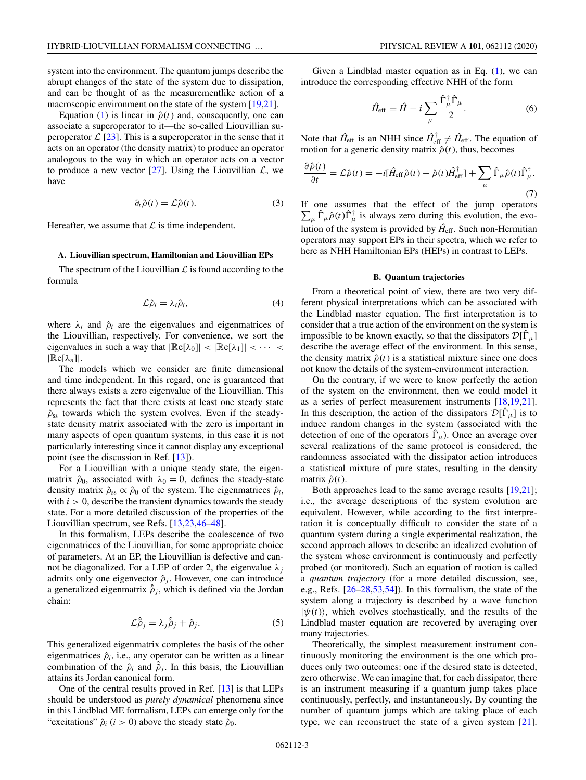<span id="page-2-0"></span>system into the environment. The quantum jumps describe the abrupt changes of the state of the system due to dissipation, and can be thought of as the measurementlike action of a macroscopic environment on the state of the system [\[19,21\]](#page-12-0).

Equation [\(1\)](#page-1-0) is linear in  $\hat{\rho}(t)$  and, consequently, one can associate a superoperator to it—the so-called Liouvillian superoperator  $\mathcal{L}$  [\[23\]](#page-12-0). This is a superoperator in the sense that it acts on an operator (the density matrix) to produce an operator analogous to the way in which an operator acts on a vector to produce a new vector  $[27]$ . Using the Liouvillian  $\mathcal{L}$ , we have

$$
\partial_t \hat{\rho}(t) = \mathcal{L}\hat{\rho}(t). \tag{3}
$$

Hereafter, we assume that  $\mathcal L$  is time independent.

### **A. Liouvillian spectrum, Hamiltonian and Liouvillian EPs**

The spectrum of the Liouvillian  $\mathcal L$  is found according to the formula

$$
\mathcal{L}\hat{\rho}_i = \lambda_i \hat{\rho}_i, \tag{4}
$$

where  $\lambda_i$  and  $\hat{\rho}_i$  are the eigenvalues and eigenmatrices of the Liouvillian, respectively. For convenience, we sort the eigenvalues in such a way that  $|\mathbb{R}\mathsf{e}[\lambda_0]| < |\mathbb{R}\mathsf{e}[\lambda_1]| < \cdots$  $|\mathbb{R}e[\lambda_n]|$ .

The models which we consider are finite dimensional and time independent. In this regard, one is guaranteed that there always exists a zero eigenvalue of the Liouvillian. This represents the fact that there exists at least one steady state  $\hat{\rho}_{ss}$  towards which the system evolves. Even if the steadystate density matrix associated with the zero is important in many aspects of open quantum systems, in this case it is not particularly interesting since it cannot display any exceptional point (see the discussion in Ref. [\[13\]](#page-11-0)).

For a Liouvillian with a unique steady state, the eigenmatrix  $\hat{\rho}_0$ , associated with  $\lambda_0 = 0$ , defines the steady-state density matrix  $\hat{\rho}_{ss} \propto \hat{\rho}_0$  of the system. The eigenmatrices  $\hat{\rho}_i$ , with  $i > 0$ , describe the transient dynamics towards the steady state. For a more detailed discussion of the properties of the Liouvillian spectrum, see Refs. [\[13,](#page-11-0)[23,46–48\]](#page-12-0).

In this formalism, LEPs describe the coalescence of two eigenmatrices of the Liouvillian, for some appropriate choice of parameters. At an EP, the Liouvillian is defective and cannot be diagonalized. For a LEP of order 2, the eigenvalue  $\lambda_i$ admits only one eigenvector  $\hat{\rho}_i$ . However, one can introduce a generalized eigenmatrix  $\hat{\rho}_j$ , which is defined via the Jordan chain:

$$
\mathcal{L}\hat{\rho}_j = \lambda_j \hat{\rho}_j + \hat{\rho}_j. \tag{5}
$$

This generalized eigenmatrix completes the basis of the other eigenmatrices  $\hat{\rho}_i$ , i.e., any operator can be written as a linear combination of the  $\hat{\rho}_i$  and  $\hat{\tilde{\rho}}_j$ . In this basis, the Liouvillian attains its Jordan canonical form.

One of the central results proved in Ref. [\[13\]](#page-11-0) is that LEPs should be understood as *purely dynamical* phenomena since in this Lindblad ME formalism, LEPs can emerge only for the "excitations"  $\hat{\rho}_i$  (*i* > 0) above the steady state  $\hat{\rho}_0$ .

Given a Lindblad master equation as in Eq.  $(1)$ , we can introduce the corresponding effective NHH of the form

$$
\hat{H}_{\text{eff}} = \hat{H} - i \sum_{\mu} \frac{\hat{\Gamma}_{\mu}^{\dagger} \hat{\Gamma}_{\mu}}{2}.
$$
 (6)

Note that  $\hat{H}_{\text{eff}}$  is an NHH since  $\hat{H}_{\text{eff}}^{\dagger} \neq \hat{H}_{\text{eff}}$ . The equation of motion for a generic density matrix  $\hat{\rho}(t)$ , thus, becomes

∂ρˆ (*t*)

$$
\frac{\partial \hat{\rho}(t)}{\partial t} = \mathcal{L}\hat{\rho}(t) = -i[\hat{H}_{\text{eff}}\hat{\rho}(t) - \hat{\rho}(t)\hat{H}_{\text{eff}}^{\dagger}] + \sum_{\mu} \hat{\Gamma}_{\mu}\hat{\rho}(t)\hat{\Gamma}_{\mu}^{\dagger}.
$$
\n(7)

If one assumes that the effect of the jump operators  $\sum_{\mu} \hat{\Gamma}_{\mu} \hat{\rho}(t) \hat{\Gamma}_{\mu}^{\dagger}$  is always zero during this evolution, the evolution of the system is provided by  $\hat{H}_{\text{eff}}$ . Such non-Hermitian operators may support EPs in their spectra, which we refer to here as NHH Hamiltonian EPs (HEPs) in contrast to LEPs.

#### **B. Quantum trajectories**

From a theoretical point of view, there are two very different physical interpretations which can be associated with the Lindblad master equation. The first interpretation is to consider that a true action of the environment on the system is impossible to be known exactly, so that the dissipators  $\mathcal{D}[\hat{\Gamma}_\mu]$ describe the average effect of the environment. In this sense, the density matrix  $\hat{\rho}(t)$  is a statistical mixture since one does not know the details of the system-environment interaction.

On the contrary, if we were to know perfectly the action of the system on the environment, then we could model it as a series of perfect measurement instruments [\[18,19,21\]](#page-12-0). In this description, the action of the dissipators  $\mathcal{D}[\hat{\Gamma}_\mu]$  is to induce random changes in the system (associated with the detection of one of the operators  $\hat{\Gamma}_{\mu}$ ). Once an average over several realizations of the same protocol is considered, the randomness associated with the dissipator action introduces a statistical mixture of pure states, resulting in the density matrix  $\hat{\rho}(t)$ .

Both approaches lead to the same average results [\[19,21\]](#page-12-0); i.e., the average descriptions of the system evolution are equivalent. However, while according to the first interpretation it is conceptually difficult to consider the state of a quantum system during a single experimental realization, the second approach allows to describe an idealized evolution of the system whose environment is continuously and perfectly probed (or monitored). Such an equation of motion is called a *quantum trajectory* (for a more detailed discussion, see, e.g., Refs.  $[26-28,53,54]$  $[26-28,53,54]$ . In this formalism, the state of the system along a trajectory is described by a wave function  $|\psi(t)\rangle$ , which evolves stochastically, and the results of the Lindblad master equation are recovered by averaging over many trajectories.

Theoretically, the simplest measurement instrument continuously monitoring the environment is the one which produces only two outcomes: one if the desired state is detected, zero otherwise. We can imagine that, for each dissipator, there is an instrument measuring if a quantum jump takes place continuously, perfectly, and instantaneously. By counting the number of quantum jumps which are taking place of each type, we can reconstruct the state of a given system [\[21\]](#page-12-0).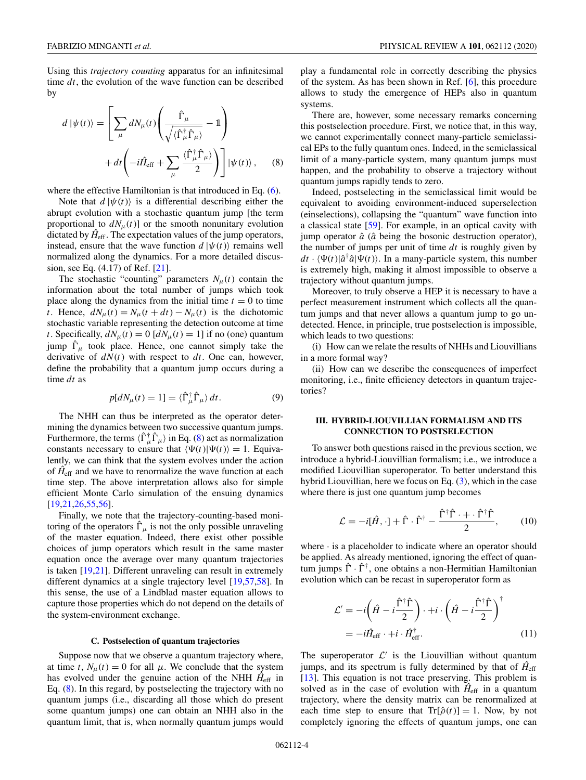<span id="page-3-0"></span>Using this *trajectory counting* apparatus for an infinitesimal time *dt*, the evolution of the wave function can be described by

$$
d |\psi(t)\rangle = \left[ \sum_{\mu} dN_{\mu}(t) \left( \frac{\hat{\Gamma}_{\mu}}{\sqrt{\langle \hat{\Gamma}_{\mu}^{\dagger} \hat{\Gamma}_{\mu} \rangle}} - 1 \right) + dt \left( -i \hat{H}_{\text{eff}} + \sum_{\mu} \frac{\langle \hat{\Gamma}_{\mu}^{\dagger} \hat{\Gamma}_{\mu} \rangle}{2} \right) \right] |\psi(t)\rangle, \quad (8)
$$

where the effective Hamiltonian is that introduced in Eq.  $(6)$ .

Note that  $d | \psi(t) \rangle$  is a differential describing either the abrupt evolution with a stochastic quantum jump [the term proportional to  $dN<sub>μ</sub>(t)$ ] or the smooth nonunitary evolution dictated by  $\hat{H}_{\text{eff}}$ . The expectation values of the jump operators, instead, ensure that the wave function  $d | \psi(t) \rangle$  remains well normalized along the dynamics. For a more detailed discussion, see Eq. (4.17) of Ref. [\[21\]](#page-12-0).

The stochastic "counting" parameters  $N<sub>μ</sub>(t)$  contain the information about the total number of jumps which took place along the dynamics from the initial time  $t = 0$  to time *t*. Hence,  $dN_{\mu}(t) = N_{\mu}(t + dt) - N_{\mu}(t)$  is the dichotomic stochastic variable representing the detection outcome at time *t*. Specifically,  $dN_{\mu}(t) = 0$  [ $dN_{\mu}(t) = 1$ ] if no (one) quantum jump  $\hat{\Gamma}_{\mu}$  took place. Hence, one cannot simply take the derivative of *dN*(*t*) with respect to *dt*. One can, however, define the probability that a quantum jump occurs during a time *dt* as

$$
p[dN_{\mu}(t) = 1] = \langle \hat{\Gamma}^{\dagger}_{\mu} \hat{\Gamma}_{\mu} \rangle dt. \tag{9}
$$

The NHH can thus be interpreted as the operator determining the dynamics between two successive quantum jumps. Furthermore, the terms  $\langle \hat{\Gamma}^{\dagger}_{\mu} \hat{\Gamma}_{\mu} \rangle$  in Eq. (8) act as normalization constants necessary to ensure that  $\langle \Psi(t) | \Psi(t) \rangle = 1$ . Equivalently, we can think that the system evolves under the action of  $\hat{H}_{\text{eff}}$  and we have to renormalize the wave function at each time step. The above interpretation allows also for simple efficient Monte Carlo simulation of the ensuing dynamics [\[19,21,26,](#page-12-0)[55,56\]](#page-13-0).

Finally, we note that the trajectory-counting-based monitoring of the operators  $\hat{\Gamma}_{\mu}$  is not the only possible unraveling of the master equation. Indeed, there exist other possible choices of jump operators which result in the same master equation once the average over many quantum trajectories is taken [\[19,21\]](#page-12-0). Different unraveling can result in extremely different dynamics at a single trajectory level [\[19,](#page-12-0)[57,58\]](#page-13-0). In this sense, the use of a Lindblad master equation allows to capture those properties which do not depend on the details of the system-environment exchange.

#### **C. Postselection of quantum trajectories**

Suppose now that we observe a quantum trajectory where, at time *t*,  $N_{\mu}(t) = 0$  for all  $\mu$ . We conclude that the system has evolved under the genuine action of the NHH  $H_{\text{eff}}$  in Eq. (8). In this regard, by postselecting the trajectory with no quantum jumps (i.e., discarding all those which do present some quantum jumps) one can obtain an NHH also in the quantum limit, that is, when normally quantum jumps would

play a fundamental role in correctly describing the physics of the system. As has been shown in Ref. [\[6\]](#page-11-0), this procedure allows to study the emergence of HEPs also in quantum systems.

There are, however, some necessary remarks concerning this postselection procedure. First, we notice that, in this way, we cannot experimentally connect many-particle semiclassical EPs to the fully quantum ones. Indeed, in the semiclassical limit of a many-particle system, many quantum jumps must happen, and the probability to observe a trajectory without quantum jumps rapidly tends to zero.

Indeed, postselecting in the semiclassical limit would be equivalent to avoiding environment-induced superselection (einselections), collapsing the "quantum" wave function into a classical state [\[59\]](#page-13-0). For example, in an optical cavity with jump operator  $\hat{a}$  ( $\hat{a}$  being the bosonic destruction operator), the number of jumps per unit of time *dt* is roughly given by  $dt \cdot \langle \Psi(t) | \hat{a}^\dagger \hat{a} | \Psi(t) \rangle$ . In a many-particle system, this number is extremely high, making it almost impossible to observe a trajectory without quantum jumps.

Moreover, to truly observe a HEP it is necessary to have a perfect measurement instrument which collects all the quantum jumps and that never allows a quantum jump to go undetected. Hence, in principle, true postselection is impossible, which leads to two questions:

(i) How can we relate the results of NHHs and Liouvillians in a more formal way?

(ii) How can we describe the consequences of imperfect monitoring, i.e., finite efficiency detectors in quantum trajectories?

### **III. HYBRID-LIOUVILLIAN FORMALISM AND ITS CONNECTION TO POSTSELECTION**

To answer both questions raised in the previous section, we introduce a hybrid-Liouvillian formalism; i.e., we introduce a modified Liouvillian superoperator. To better understand this hybrid Liouvillian, here we focus on Eq.  $(3)$ , which in the case where there is just one quantum jump becomes

$$
\mathcal{L} = -i[\hat{H}, \cdot] + \hat{\Gamma} \cdot \hat{\Gamma}^{\dagger} - \frac{\hat{\Gamma}^{\dagger}\hat{\Gamma} + \cdot \hat{\Gamma}^{\dagger}\hat{\Gamma}}{2},\qquad(10)
$$

where · is a placeholder to indicate where an operator should be applied. As already mentioned, ignoring the effect of quantum jumps  $\hat{\Gamma} \cdot \hat{\Gamma}^{\dagger}$ , one obtains a non-Hermitian Hamiltonian evolution which can be recast in superoperator form as

$$
\mathcal{L}' = -i\left(\hat{H} - i\frac{\hat{\Gamma}^{\dagger}\hat{\Gamma}}{2}\right) \cdot + i \cdot \left(\hat{H} - i\frac{\hat{\Gamma}^{\dagger}\hat{\Gamma}}{2}\right)^{\dagger}
$$

$$
= -i\hat{H}_{\text{eff}} \cdot + i \cdot \hat{H}_{\text{eff}}^{\dagger}.
$$
(11)

The superoperator  $\mathcal{L}'$  is the Liouvillian without quantum jumps, and its spectrum is fully determined by that of  $\hat{H}_{\text{eff}}$ [\[13\]](#page-11-0). This equation is not trace preserving. This problem is solved as in the case of evolution with  $\hat{H}_{\text{eff}}$  in a quantum trajectory, where the density matrix can be renormalized at each time step to ensure that  $Tr[\hat{\rho}(t)] = 1$ . Now, by not completely ignoring the effects of quantum jumps, one can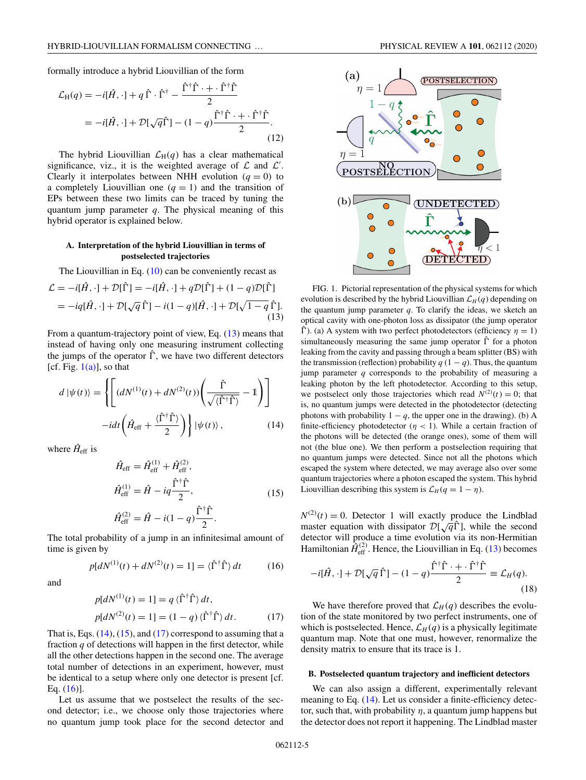<span id="page-4-0"></span>formally introduce a hybrid Liouvillian of the form

$$
\mathcal{L}_{\mathrm{H}}(q) = -i[\hat{H}, \cdot] + q \,\hat{\Gamma} \cdot \hat{\Gamma}^{\dagger} - \frac{\hat{\Gamma}^{\dagger}\hat{\Gamma} + \cdot \hat{\Gamma}^{\dagger}\hat{\Gamma}}{2}
$$
\n
$$
= -i[\hat{H}, \cdot] + \mathcal{D}[\sqrt{q}\hat{\Gamma}] - (1 - q)\frac{\hat{\Gamma}^{\dagger}\hat{\Gamma} + \cdot \hat{\Gamma}^{\dagger}\hat{\Gamma}}{2}.
$$
\n(12)

The hybrid Liouvillian  $\mathcal{L}_H(q)$  has a clear mathematical significance, viz., it is the weighted average of  $\mathcal L$  and  $\mathcal L'$ . Clearly it interpolates between NHH evolution  $(q = 0)$  to a completely Liouvillian one  $(q = 1)$  and the transition of EPs between these two limits can be traced by tuning the quantum jump parameter *q*. The physical meaning of this hybrid operator is explained below.

# **A. Interpretation of the hybrid Liouvillian in terms of postselected trajectories**

The Liouvillian in Eq.  $(10)$  can be conveniently recast as

$$
\mathcal{L} = -i[\hat{H}, \cdot] + \mathcal{D}[\hat{\Gamma}] = -i[\hat{H}, \cdot] + q\mathcal{D}[\hat{\Gamma}] + (1 - q)\mathcal{D}[\hat{\Gamma}]
$$
  
= 
$$
-iq[\hat{H}, \cdot] + \mathcal{D}[\sqrt{q}\,\hat{\Gamma}] - i(1 - q)[\hat{H}, \cdot] + \mathcal{D}[\sqrt{1 - q}\,\hat{\Gamma}].
$$
 (13)

From a quantum-trajectory point of view, Eq. (13) means that instead of having only one measuring instrument collecting the jumps of the operator  $\hat{\Gamma}$ , we have two different detectors [cf. Fig.  $1(a)$ ], so that

$$
d |\psi(t)\rangle = \left\{ \left[ (dN^{(1)}(t) + dN^{(2)}(t)) \left( \frac{\hat{\Gamma}}{\sqrt{\langle \hat{\Gamma}^{\dagger} \hat{\Gamma} \rangle}} - 1 \right) \right] - i dt \left( \hat{H}_{\text{eff}} + \frac{\langle \hat{\Gamma}^{\dagger} \hat{\Gamma} \rangle}{2} \right) \right\} |\psi(t)\rangle, \tag{14}
$$

where  $\hat{H}_{\text{eff}}$  is

$$
\hat{H}_{\text{eff}} = \hat{H}_{\text{eff}}^{(1)} + \hat{H}_{\text{eff}}^{(2)},
$$
\n
$$
\hat{H}_{\text{eff}}^{(1)} = \hat{H} - iq \frac{\hat{\Gamma}^{\dagger} \hat{\Gamma}}{2},
$$
\n
$$
\hat{H}_{\text{eff}}^{(2)} = \hat{H} - i(1-q) \frac{\hat{\Gamma}^{\dagger} \hat{\Gamma}}{2}.
$$
\n(15)

The total probability of a jump in an infinitesimal amount of time is given by

$$
p[dN^{(1)}(t) + dN^{(2)}(t) = 1] = \langle \hat{\Gamma}^{\dagger} \hat{\Gamma} \rangle dt \qquad (16)
$$

and

$$
p[dN^{(1)}(t) = 1] = q \langle \hat{\Gamma}^{\dagger} \hat{\Gamma} \rangle dt,
$$
  
\n
$$
p[dN^{(2)}(t) = 1] = (1 - q) \langle \hat{\Gamma}^{\dagger} \hat{\Gamma} \rangle dt.
$$
 (17)

That is, Eqs.  $(14)$ ,  $(15)$ , and  $(17)$  correspond to assuming that a fraction *q* of detections will happen in the first detector, while all the other detections happen in the second one. The average total number of detections in an experiment, however, must be identical to a setup where only one detector is present [cf. Eq.  $(16)$ ].

Let us assume that we postselect the results of the second detector; i.e., we choose only those trajectories where no quantum jump took place for the second detector and



FIG. 1. Pictorial representation of the physical systems for which evolution is described by the hybrid Liouvillian  $\mathcal{L}_H(q)$  depending on the quantum jump parameter  $q$ . To clarify the ideas, we sketch an optical cavity with one-photon loss as dissipator (the jump operator  $\hat{\Gamma}$ ). (a) A system with two perfect photodetectors (efficiency  $\eta = 1$ ) simultaneously measuring the same jump operator  $\hat{\Gamma}$  for a photon leaking from the cavity and passing through a beam splitter (BS) with the transmission (reflection) probability  $q(1 - q)$ . Thus, the quantum jump parameter *q* corresponds to the probability of measuring a leaking photon by the left photodetector. According to this setup, we postselect only those trajectories which read  $N^{(2)}(t) = 0$ ; that is, no quantum jumps were detected in the photodetector (detecting photons with probability  $1 - q$ , the upper one in the drawing). (b) A finite-efficiency photodetector ( $\eta$  < 1). While a certain fraction of the photons will be detected (the orange ones), some of them will not (the blue one). We then perform a postselection requiring that no quantum jumps were detected. Since not all the photons which escaped the system where detected, we may average also over some quantum trajectories where a photon escaped the system. This hybrid Liouvillian describing this system is  $\mathcal{L}_H(q = 1 - \eta)$ .

 $N^{(2)}(t) = 0$ . Detector 1 will exactly produce the Lindblad master equation with dissipator  $\mathcal{D}[\sqrt{q}\hat{\Gamma}]$ , while the second master equation with dissipator  $\mathcal{D}[\sqrt{q}\hat{\Gamma}]$ , while the second detector will produce a time evolution via its non-Hermitian Hamiltonian  $\hat{H}_{\text{eff}}^{(2)}$ . Hence, the Liouvillian in Eq. (13) becomes

$$
-i[\hat{H}, \cdot] + \mathcal{D}[\sqrt{q}\,\hat{\Gamma}] - (1-q)\frac{\hat{\Gamma}^{\dagger}\hat{\Gamma} + \cdot \hat{\Gamma}^{\dagger}\hat{\Gamma}}{2} \equiv \mathcal{L}_H(q). \tag{18}
$$

We have therefore proved that  $\mathcal{L}_H(q)$  describes the evolution of the state monitored by two perfect instruments, one of which is postselected. Hence,  $\mathcal{L}_H(q)$  is a physically legitimate quantum map. Note that one must, however, renormalize the density matrix to ensure that its trace is 1.

### **B. Postselected quantum trajectory and inefficient detectors**

We can also assign a different, experimentally relevant meaning to Eq. (14). Let us consider a finite-efficiency detector, such that, with probability  $\eta$ , a quantum jump happens but the detector does not report it happening. The Lindblad master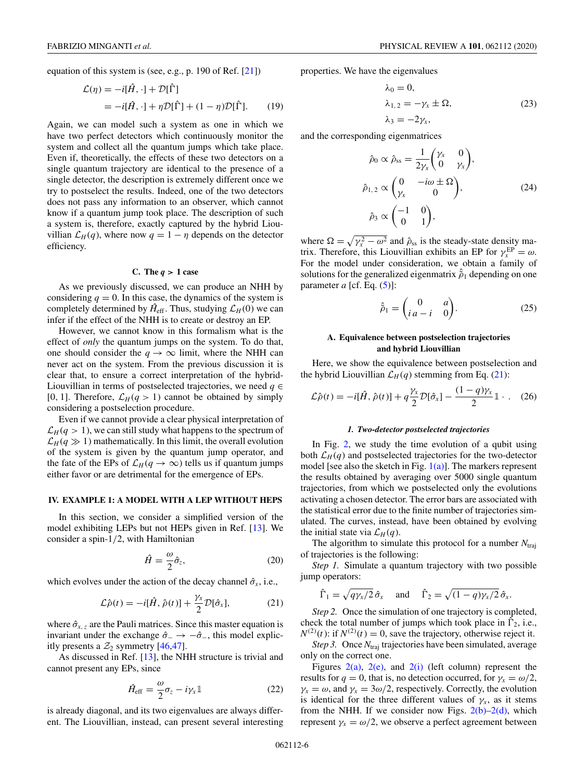<span id="page-5-0"></span>equation of this system is (see, e.g., p. 190 of Ref. [\[21\]](#page-12-0))

$$
\mathcal{L}(\eta) = -i[\hat{H}, \cdot] + \mathcal{D}[\hat{\Gamma}]
$$
  
= 
$$
-i[\hat{H}, \cdot] + \eta \mathcal{D}[\hat{\Gamma}] + (1 - \eta) \mathcal{D}[\hat{\Gamma}].
$$
 (19)

Again, we can model such a system as one in which we have two perfect detectors which continuously monitor the system and collect all the quantum jumps which take place. Even if, theoretically, the effects of these two detectors on a single quantum trajectory are identical to the presence of a single detector, the description is extremely different once we try to postselect the results. Indeed, one of the two detectors does not pass any information to an observer, which cannot know if a quantum jump took place. The description of such a system is, therefore, exactly captured by the hybrid Liouvillian  $\mathcal{L}_H(q)$ , where now  $q = 1 - \eta$  depends on the detector efficiency.

#### **C.** The  $q > 1$  case

As we previously discussed, we can produce an NHH by considering  $q = 0$ . In this case, the dynamics of the system is completely determined by  $\hat{H}_{\text{eff}}$ . Thus, studying  $\mathcal{L}_H(0)$  we can infer if the effect of the NHH is to create or destroy an EP.

However, we cannot know in this formalism what is the effect of *only* the quantum jumps on the system. To do that, one should consider the  $q \to \infty$  limit, where the NHH can never act on the system. From the previous discussion it is clear that, to ensure a correct interpretation of the hybrid-Liouvillian in terms of postselected trajectories, we need *q* ∈ [0, 1]. Therefore,  $\mathcal{L}_H(q>1)$  cannot be obtained by simply considering a postselection procedure.

Even if we cannot provide a clear physical interpretation of  $\mathcal{L}_H(q>1)$ , we can still study what happens to the spectrum of  $\mathcal{L}_H(q \gg 1)$  mathematically. In this limit, the overall evolution of the system is given by the quantum jump operator, and the fate of the EPs of  $\mathcal{L}_H(q \to \infty)$  tells us if quantum jumps either favor or are detrimental for the emergence of EPs.

### **IV. EXAMPLE 1: A MODEL WITH A LEP WITHOUT HEPS**

In this section, we consider a simplified version of the model exhibiting LEPs but not HEPs given in Ref. [\[13\]](#page-11-0). We consider a spin-1/2, with Hamiltonian

$$
\hat{H} = \frac{\omega}{2}\hat{\sigma}_z,\tag{20}
$$

which evolves under the action of the decay channel  $\hat{\sigma}_x$ , i.e.,

$$
\mathcal{L}\hat{\rho}(t) = -i[\hat{H}, \hat{\rho}(t)] + \frac{\gamma_x}{2} \mathcal{D}[\hat{\sigma}_x],\tag{21}
$$

where  $\hat{\sigma}_{x,z}$  are the Pauli matrices. Since this master equation is invariant under the exchange  $\hat{\sigma}_- \rightarrow -\hat{\sigma}_-$ , this model explicitly presents a  $\mathcal{Z}_2$  symmetry [\[46,47\]](#page-12-0).

As discussed in Ref. [\[13\]](#page-11-0), the NHH structure is trivial and cannot present any EPs, since

$$
\hat{H}_{\text{eff}} = \frac{\omega}{2}\sigma_z - i\gamma_x \mathbb{1}
$$
 (22)

is already diagonal, and its two eigenvalues are always different. The Liouvillian, instead, can present several interesting properties. We have the eigenvalues

$$
\lambda_0 = 0,
$$
  
\n
$$
\lambda_{1,2} = -\gamma_x \pm \Omega,
$$
  
\n
$$
\lambda_3 = -2\gamma_x,
$$
\n(23)

and the corresponding eigenmatrices

$$
\hat{\rho}_0 \propto \hat{\rho}_{ss} = \frac{1}{2\gamma_x} \begin{pmatrix} \gamma_x & 0 \\ 0 & \gamma_x \end{pmatrix},
$$
  

$$
\hat{\rho}_{1,2} \propto \begin{pmatrix} 0 & -i\omega \pm \Omega \\ \gamma_x & 0 \end{pmatrix},
$$
 (24)  

$$
\hat{\rho}_3 \propto \begin{pmatrix} -1 & 0 \\ 0 & 1 \end{pmatrix},
$$

where  $\Omega = \sqrt{\gamma_x^2 - \omega^2}$  and  $\hat{\rho}_{ss}$  is the steady-state density matrix. Therefore, this Liouvillian exhibits an EP for  $\gamma_x^{\text{EP}} = \omega$ . For the model under consideration, we obtain a family of solutions for the generalized eigenmatrix  $\hat{\rho}_1$  depending on one parameter  $a$  [cf. Eq.  $(5)$ ]:

$$
\hat{\tilde{\rho}}_1 = \begin{pmatrix} 0 & a \\ ia - i & 0 \end{pmatrix}.
$$
 (25)

### **A. Equivalence between postselection trajectories and hybrid Liouvillian**

Here, we show the equivalence between postselection and the hybrid Liouvillian  $\mathcal{L}_H(q)$  stemming from Eq. (21):

$$
\mathcal{L}\hat{\rho}(t) = -i[\hat{H}, \hat{\rho}(t)] + q\frac{\gamma_x}{2}\mathcal{D}[\hat{\sigma}_x] - \frac{(1-q)\gamma_x}{2}\mathbb{1} \cdot .
$$
 (26)

#### *1. Two-detector postselected trajectories*

In Fig. [2,](#page-6-0) we study the time evolution of a qubit using both  $\mathcal{L}_H(q)$  and postselected trajectories for the two-detector model [see also the sketch in Fig.  $1(a)$ ]. The markers represent the results obtained by averaging over 5000 single quantum trajectories, from which we postselected only the evolutions activating a chosen detector. The error bars are associated with the statistical error due to the finite number of trajectories simulated. The curves, instead, have been obtained by evolving the initial state via  $\mathcal{L}_H(q)$ .

The algorithm to simulate this protocol for a number  $N_{\text{traj}}$ of trajectories is the following:

*Step 1.* Simulate a quantum trajectory with two possible jump operators:

$$
\hat{\Gamma}_1 = \sqrt{q\gamma_x/2} \,\hat{\sigma}_x
$$
 and  $\hat{\Gamma}_2 = \sqrt{(1-q)\gamma_x/2} \,\hat{\sigma}_x$ .

*Step 2.* Once the simulation of one trajectory is completed, check the total number of jumps which took place in  $\hat{\Gamma}_2$ , i.e.,  $N^{(2)}(t)$ : if  $N^{(2)}(t) = 0$ , save the trajectory, otherwise reject it.

*Step 3.* Once  $N_{\text{traj}}$  trajectories have been simulated, average only on the correct one.

Figures  $2(a)$ ,  $2(e)$ , and  $2(i)$  (left column) represent the results for  $q = 0$ , that is, no detection occurred, for  $\gamma_x = \omega/2$ ,  $\gamma_x = \omega$ , and  $\gamma_x = 3\omega/2$ , respectively. Correctly, the evolution is identical for the three different values of  $\gamma_x$ , as it stems from the NHH. If we consider now Figs.  $2(b)-2(d)$ , which represent  $\gamma_x = \omega/2$ , we observe a perfect agreement between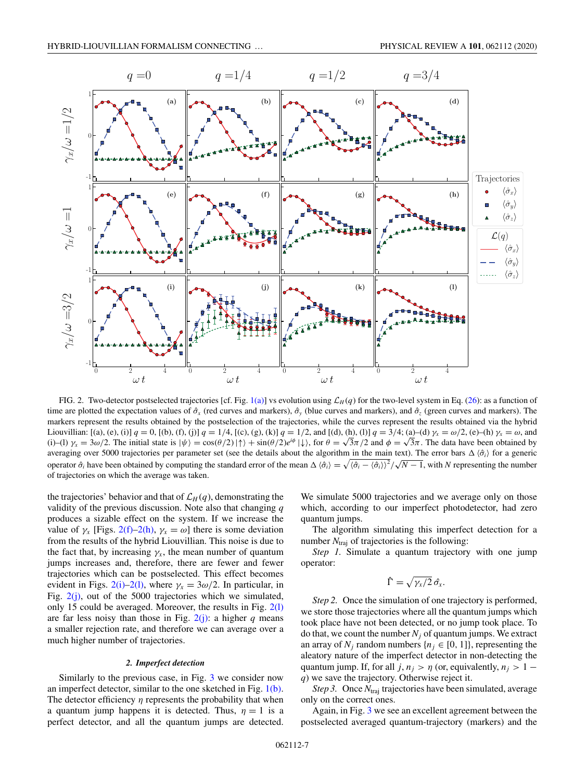<span id="page-6-0"></span>

FIG. 2. Two-detector postselected trajectories [cf. Fig. [1\(a\)\]](#page-4-0) vs evolution using  $\mathcal{L}_H(q)$  for the two-level system in Eq. [\(26\)](#page-5-0): as a function of time are plotted the expectation values of  $\hat{\sigma}_x$  (red curves and markers),  $\hat{\sigma}_y$  (blue curves and markers), and  $\hat{\sigma}_z$  (green curves and markers). The markers represent the results obtained by the postselection of the trajectories, while the curves represent the results obtained via the hybrid Liouvillian: [(a), (e), (i)]  $q = 0$ , [(b), (f), (j)]  $q = 1/4$ , [(c), (g), (k)]  $q = 1/2$ , and [(d), (h), (l)]  $q = 3/4$ ; (a)–(d)  $\gamma_x = \omega/2$ , (e)–(h)  $\gamma_x = \omega$ , and (i)–(l)  $\gamma_x = 3\omega/2$ . The initial state is  $|\psi\rangle = \cos(\theta/2)|\uparrow\rangle + \sin(\theta/2)e^{i\phi}|\downarrow\rangle$ , for  $\theta = \sqrt{3}\pi/2$  and  $\phi = \sqrt{3}\pi$ . The data have been obtained by averaging over 5000 trajectories per parameter set (see the details about the algorithm in the main text). The error bars  $\Delta \langle \hat{\sigma}_i \rangle$  for a generic operator  $\hat{\sigma}_i$  have been obtained by computing the standard error of the mean  $\Delta \langle \hat{\sigma}_i \rangle = \sqrt{\langle \hat{\sigma}_i - \langle \hat{\sigma}_i \rangle \rangle^2}/\sqrt{N-1}$ , with *N* representing the number operator  $\hat{\sigma}_i$  have been obtained by computing the sta of trajectories on which the average was taken.

the trajectories' behavior and that of  $\mathcal{L}_H(q)$ , demonstrating the validity of the previous discussion. Note also that changing *q* produces a sizable effect on the system. If we increase the value of  $\gamma_x$  [Figs. 2(f)–2(h),  $\gamma_x = \omega$ ] there is some deviation from the results of the hybrid Liouvillian. This noise is due to the fact that, by increasing  $\gamma_x$ , the mean number of quantum jumps increases and, therefore, there are fewer and fewer trajectories which can be postselected. This effect becomes evident in Figs. 2(i)–2(l), where  $\gamma_x = 3\omega/2$ . In particular, in Fig. 2(j), out of the 5000 trajectories which we simulated, only 15 could be averaged. Moreover, the results in Fig. 2(l) are far less noisy than those in Fig.  $2(i)$ : a higher *q* means a smaller rejection rate, and therefore we can average over a much higher number of trajectories.

### *2. Imperfect detection*

Similarly to the previous case, in Fig. [3](#page-7-0) we consider now an imperfect detector, similar to the one sketched in Fig.  $1(b)$ . The detector efficiency  $\eta$  represents the probability that when a quantum jump happens it is detected. Thus,  $\eta = 1$  is a perfect detector, and all the quantum jumps are detected. We simulate 5000 trajectories and we average only on those which, according to our imperfect photodetector, had zero quantum jumps.

The algorithm simulating this imperfect detection for a number  $N_{\text{traj}}$  of trajectories is the following:

*Step 1.* Simulate a quantum trajectory with one jump operator:

$$
\hat{\Gamma}=\sqrt{\gamma_{x}/2}\,\hat{\sigma_{x}}.
$$

*Step 2.* Once the simulation of one trajectory is performed, we store those trajectories where all the quantum jumps which took place have not been detected, or no jump took place. To do that, we count the number  $N_i$  of quantum jumps. We extract an array of  $N_i$  random numbers  $\{n_i \in [0, 1]\}$ , representing the aleatory nature of the imperfect detector in non-detecting the quantum jump. If, for all *j*,  $n_j > \eta$  (or, equivalently,  $n_j > 1$ *q*) we save the trajectory. Otherwise reject it.

*Step 3.* Once  $N_{\text{traj}}$  trajectories have been simulated, average only on the correct ones.

Again, in Fig. [3](#page-7-0) we see an excellent agreement between the postselected averaged quantum-trajectory (markers) and the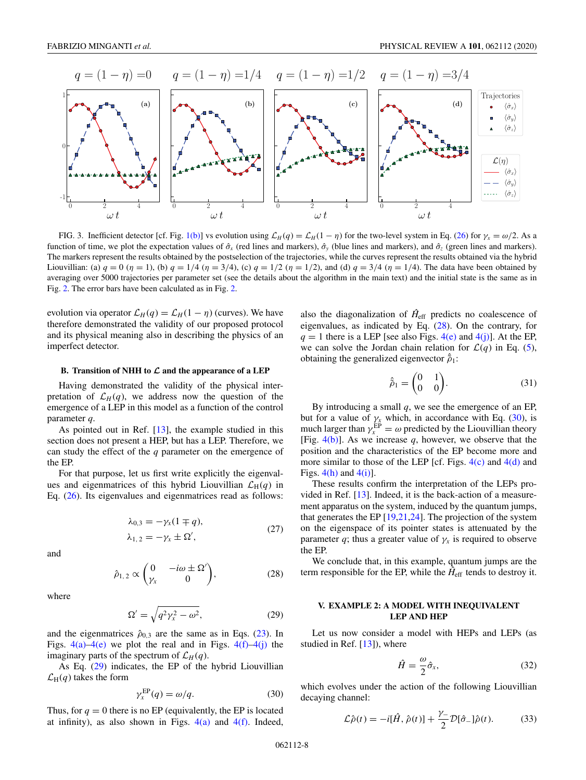<span id="page-7-0"></span>

FIG. 3. Inefficient detector [cf. Fig. [1\(b\)\]](#page-4-0) vs evolution using  $\mathcal{L}_H(q) = \mathcal{L}_H(1 - \eta)$  for the two-level system in Eq. [\(26\)](#page-5-0) for  $\gamma_x = \omega/2$ . As a function of time, we plot the expectation values of  $\hat{\sigma}_x$  (red lines and markers),  $\hat{\sigma}_y$  (blue lines and markers), and  $\hat{\sigma}_z$  (green lines and markers). The markers represent the results obtained by the postselection of the trajectories, while the curves represent the results obtained via the hybrid Liouvillian: (a)  $q = 0$  ( $\eta = 1$ ), (b)  $q = 1/4$  ( $\eta = 3/4$ ), (c)  $q = 1/2$  ( $\eta = 1/2$ ), and (d)  $q = 3/4$  ( $\eta = 1/4$ ). The data have been obtained by averaging over 5000 trajectories per parameter set (see the details about the algorithm in the main text) and the initial state is the same as in Fig. [2.](#page-6-0) The error bars have been calculated as in Fig. [2.](#page-6-0)

evolution via operator  $\mathcal{L}_H(q) = \mathcal{L}_H(1 - \eta)$  (curves). We have therefore demonstrated the validity of our proposed protocol and its physical meaning also in describing the physics of an imperfect detector.

#### **B. Transition of NHH to** *L* **and the appearance of a LEP**

Having demonstrated the validity of the physical interpretation of  $\mathcal{L}_H(q)$ , we address now the question of the emergence of a LEP in this model as a function of the control parameter *q*.

As pointed out in Ref. [\[13\]](#page-11-0), the example studied in this section does not present a HEP, but has a LEP. Therefore, we can study the effect of the *q* parameter on the emergence of the EP.

For that purpose, let us first write explicitly the eigenvalues and eigenmatrices of this hybrid Liouvillian  $\mathcal{L}_{H}(q)$  in Eq. [\(26\)](#page-5-0). Its eigenvalues and eigenmatrices read as follows:

$$
\lambda_{0,3} = -\gamma_x (1 \mp q),
$$
  
\n
$$
\lambda_{1,2} = -\gamma_x \pm \Omega',
$$
\n(27)

and

$$
\hat{\rho}_{1,2} \propto \begin{pmatrix} 0 & -i\omega \pm \Omega' \\ \gamma_x & 0 \end{pmatrix}, \tag{28}
$$

where

$$
\Omega' = \sqrt{q^2 \gamma_x^2 - \omega^2},\tag{29}
$$

and the eigenmatrices  $\hat{\rho}_{0,3}$  are the same as in Eqs. [\(23\)](#page-5-0). In Figs.  $4(a) - 4(e)$  we plot the real and in Figs.  $4(f) - 4(j)$  the imaginary parts of the spectrum of  $\mathcal{L}_H(q)$ .

As Eq. (29) indicates, the EP of the hybrid Liouvillian  $\mathcal{L}_{\text{H}}(q)$  takes the form

$$
\gamma_x^{\rm EP}(q) = \omega/q. \tag{30}
$$

Thus, for  $q = 0$  there is no EP (equivalently, the EP is located at infinity), as also shown in Figs.  $4(a)$  and  $4(f)$ . Indeed,

also the diagonalization of  $\hat{H}_{\text{eff}}$  predicts no coalescence of eigenvalues, as indicated by Eq. (28). On the contrary, for  $q = 1$  there is a LEP [see also Figs. [4\(e\)](#page-8-0) and [4\(j\)\]](#page-8-0). At the EP, we can solve the Jordan chain relation for  $\mathcal{L}(q)$  in Eq. [\(5\)](#page-2-0), obtaining the generalized eigenvector  $\hat{\tilde{\rho}}_1$ :

$$
\hat{\tilde{\rho}}_1 = \begin{pmatrix} 0 & 1 \\ 0 & 0 \end{pmatrix}.
$$
 (31)

By introducing a small *q*, we see the emergence of an EP, but for a value of  $\gamma_x$  which, in accordance with Eq. (30), is much larger than  $\gamma_x^{\text{EP}} = \omega$  predicted by the Liouvillian theory [Fig.  $4(b)$ ]. As we increase q, however, we observe that the position and the characteristics of the EP become more and more similar to those of the LEP [cf. Figs.  $4(c)$  and  $4(d)$  and Figs.  $4(h)$  and  $4(i)$ ].

These results confirm the interpretation of the LEPs provided in Ref. [\[13\]](#page-11-0). Indeed, it is the back-action of a measurement apparatus on the system, induced by the quantum jumps, that generates the EP [\[19,21,24\]](#page-12-0). The projection of the system on the eigenspace of its pointer states is attenuated by the parameter *q*; thus a greater value of  $\gamma_x$  is required to observe the EP.

We conclude that, in this example, quantum jumps are the term responsible for the EP, while the  $\hat{H}_{\text{eff}}$  tends to destroy it.

### **V. EXAMPLE 2: A MODEL WITH INEQUIVALENT LEP AND HEP**

Let us now consider a model with HEPs and LEPs (as studied in Ref. [\[13\]](#page-11-0)), where

$$
\hat{H} = \frac{\omega}{2}\hat{\sigma}_x,\tag{32}
$$

which evolves under the action of the following Liouvillian decaying channel:

$$
\mathcal{L}\hat{\rho}(t) = -i[\hat{H}, \hat{\rho}(t)] + \frac{\gamma}{2} \mathcal{D}[\hat{\sigma}_{-}] \hat{\rho}(t). \tag{33}
$$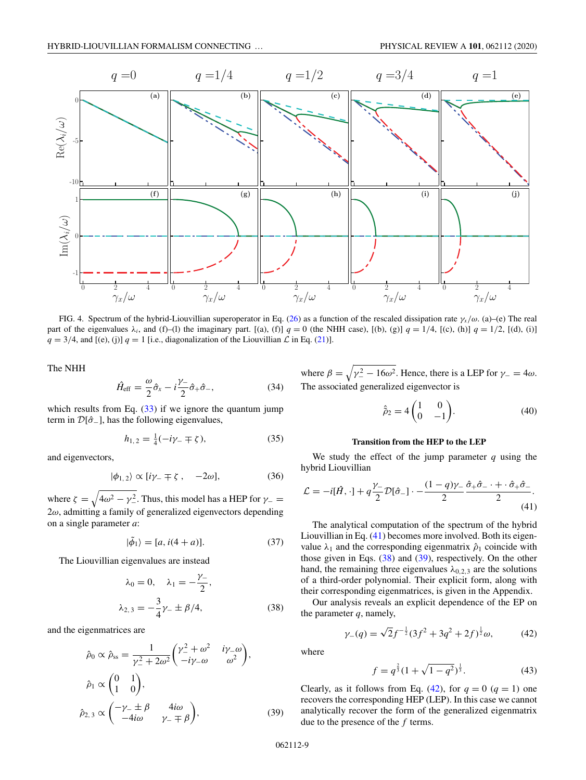<span id="page-8-0"></span>

FIG. 4. Spectrum of the hybrid-Liouvillian superoperator in Eq. [\(26\)](#page-5-0) as a function of the rescaled dissipation rate γ*x*/ω. (a)–(e) The real part of the eigenvalues  $\lambda_i$ , and (f)–(l) the imaginary part. [(a), (f)]  $q = 0$  (the NHH case), [(b), (g)]  $q = 1/4$ , [(c), (h)]  $q = 1/2$ , [(d), (i)]  $q = 3/4$ , and [(e), (j)]  $q = 1$  [i.e., diagonalization of the Liouvillian  $\mathcal L$  in Eq. [\(21\)](#page-5-0)].

The NHH

$$
\hat{H}_{\text{eff}} = \frac{\omega}{2}\hat{\sigma}_x - i\frac{\gamma}{2}\hat{\sigma}_+\hat{\sigma}_-, \tag{34}
$$

which results from Eq.  $(33)$  if we ignore the quantum jump term in  $\mathcal{D}[\hat{\sigma}_-]$ , has the following eigenvalues,

$$
h_{1,2} = \frac{1}{4}(-i\gamma_{-} \mp \zeta), \tag{35}
$$

and eigenvectors,

$$
|\phi_{1,2}\rangle \propto [i\gamma_- \mp \zeta, -2\omega], \tag{36}
$$

where  $\zeta = \sqrt{4\omega^2 - \gamma_{-}^2}$ . Thus, this model has a HEP for  $\gamma_{-}$  $2\omega$ , admitting a family of generalized eigenvectors depending on a single parameter *a*:

$$
|\tilde{\phi}_1\rangle = [a, i(4+a)].\tag{37}
$$

The Liouvillian eigenvalues are instead

$$
\lambda_0 = 0, \quad \lambda_1 = -\frac{\gamma_-}{2},
$$
  

$$
\lambda_{2,3} = -\frac{3}{4}\gamma_- \pm \beta/4,
$$
 (38)

and the eigenmatrices are

$$
\hat{\rho}_0 \propto \hat{\rho}_{ss} = \frac{1}{\gamma_-^2 + 2\omega^2} \begin{pmatrix} \gamma_-^2 + \omega^2 & i\gamma_- \omega \\ -i\gamma_- \omega & \omega^2 \end{pmatrix},
$$

$$
\hat{\rho}_1 \propto \begin{pmatrix} 0 & 1 \\ 1 & 0 \end{pmatrix},
$$

$$
\hat{\rho}_{2,3} \propto \begin{pmatrix} -\gamma_- \pm \beta & 4i\omega \\ -4i\omega & \gamma_- \mp \beta \end{pmatrix},
$$
(39)

where  $\beta = \sqrt{\gamma_{-}^2 - 16\omega^2}$ . Hence, there is a LEP for  $\gamma_{-} = 4\omega$ . The associated generalized eigenvector is

$$
\hat{\rho}_2 = 4 \begin{pmatrix} 1 & 0 \\ 0 & -1 \end{pmatrix} . \tag{40}
$$

### **Transition from the HEP to the LEP**

We study the effect of the jump parameter *q* using the hybrid Liouvillian

$$
\mathcal{L} = -i[\hat{H}, \cdot] + q\frac{\gamma}{2}\mathcal{D}[\hat{\sigma}_-] \cdot - \frac{(1-q)\gamma}{2}\frac{\hat{\sigma}_+\hat{\sigma}_- \cdot + \cdot \hat{\sigma}_+\hat{\sigma}_-}{2}.
$$
\n(41)

The analytical computation of the spectrum of the hybrid Liouvillian in Eq. (41) becomes more involved. Both its eigenvalue  $\lambda_1$  and the corresponding eigenmatrix  $\hat{\rho}_1$  coincide with those given in Eqs. (38) and (39), respectively. On the other hand, the remaining three eigenvalues  $\lambda_{0,2,3}$  are the solutions of a third-order polynomial. Their explicit form, along with their corresponding eigenmatrices, is given in the Appendix.

Our analysis reveals an explicit dependence of the EP on the parameter *q*, namely,

$$
\gamma_{-}(q) = \sqrt{2}f^{-\frac{1}{2}}(3f^{2} + 3q^{2} + 2f)^{\frac{1}{2}}\omega, \qquad (42)
$$

where

$$
f = q^{\frac{2}{3}}(1 + \sqrt{1 - q^2})^{\frac{1}{3}}.
$$
 (43)

Clearly, as it follows from Eq. (42), for  $q = 0$  ( $q = 1$ ) one recovers the corresponding HEP (LEP). In this case we cannot analytically recover the form of the generalized eigenmatrix due to the presence of the *f* terms.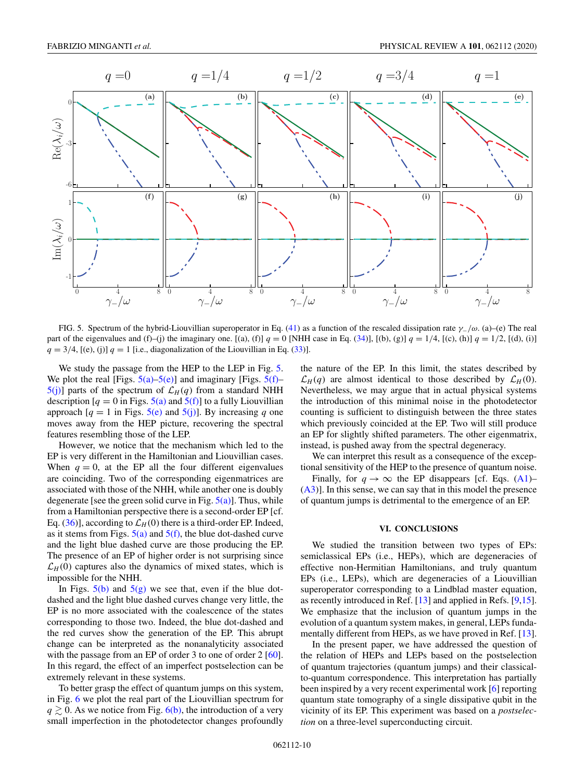

FIG. 5. Spectrum of the hybrid-Liouvillian superoperator in Eq. [\(41\)](#page-8-0) as a function of the rescaled dissipation rate  $\gamma$ –/ω. (a)–(e) The real part of the eigenvalues and (f)–(j) the imaginary one. [(a), (f)]  $q = 0$  [NHH case in Eq. [\(34\)](#page-8-0)], [(b), (g)]  $q = 1/4$ , [(c), (h)]  $q = 1/2$ , [(d), (i)]  $q = 3/4$ , [(e), (j)]  $q = 1$  [i.e., diagonalization of the Liouvillian in Eq. [\(33\)](#page-7-0)].

We study the passage from the HEP to the LEP in Fig. 5. We plot the real [Figs.  $5(a)$ – $5(e)$ ] and imaginary [Figs.  $5(f)$ –  $5(j)$ ] parts of the spectrum of  $\mathcal{L}_H(q)$  from a standard NHH description  $[q = 0]$  in Figs. 5(a) and 5(f)] to a fully Liouvillian approach  $[q = 1]$  in Figs. 5(e) and 5(j)]. By increasing *q* one moves away from the HEP picture, recovering the spectral features resembling those of the LEP.

However, we notice that the mechanism which led to the EP is very different in the Hamiltonian and Liouvillian cases. When  $q = 0$ , at the EP all the four different eigenvalues are coinciding. Two of the corresponding eigenmatrices are associated with those of the NHH, while another one is doubly degenerate [see the green solid curve in Fig.  $5(a)$ ]. Thus, while from a Hamiltonian perspective there is a second-order EP [cf. Eq. [\(36\)](#page-8-0)], according to  $\mathcal{L}_H(0)$  there is a third-order EP. Indeed, as it stems from Figs.  $5(a)$  and  $5(f)$ , the blue dot-dashed curve and the light blue dashed curve are those producing the EP. The presence of an EP of higher order is not surprising since  $\mathcal{L}_H(0)$  captures also the dynamics of mixed states, which is impossible for the NHH.

In Figs.  $5(b)$  and  $5(g)$  we see that, even if the blue dotdashed and the light blue dashed curves change very little, the EP is no more associated with the coalescence of the states corresponding to those two. Indeed, the blue dot-dashed and the red curves show the generation of the EP. This abrupt change can be interpreted as the nonanalyticity associated with the passage from an EP of order 3 to one of order 2 [\[60\]](#page-13-0). In this regard, the effect of an imperfect postselection can be extremely relevant in these systems.

To better grasp the effect of quantum jumps on this system, in Fig. [6](#page-10-0) we plot the real part of the Liouvillian spectrum for  $q \gtrsim 0$ . As we notice from Fig. [6\(b\),](#page-10-0) the introduction of a very small imperfection in the photodetector changes profoundly

the nature of the EP. In this limit, the states described by  $\mathcal{L}_H(q)$  are almost identical to those described by  $\mathcal{L}_H(0)$ . Nevertheless, we may argue that in actual physical systems the introduction of this minimal noise in the photodetector counting is sufficient to distinguish between the three states which previously coincided at the EP. Two will still produce an EP for slightly shifted parameters. The other eigenmatrix, instead, is pushed away from the spectral degeneracy.

We can interpret this result as a consequence of the exceptional sensitivity of the HEP to the presence of quantum noise.

Finally, for  $q \to \infty$  the EP disappears [cf. Eqs. [\(A1\)](#page-11-0)– [\(A3\)](#page-11-0)]. In this sense, we can say that in this model the presence of quantum jumps is detrimental to the emergence of an EP.

# **VI. CONCLUSIONS**

We studied the transition between two types of EPs: semiclassical EPs (i.e., HEPs), which are degeneracies of effective non-Hermitian Hamiltonians, and truly quantum EPs (i.e., LEPs), which are degeneracies of a Liouvillian superoperator corresponding to a Lindblad master equation, as recently introduced in Ref. [\[13\]](#page-11-0) and applied in Refs. [\[9](#page-11-0)[,15\]](#page-12-0). We emphasize that the inclusion of quantum jumps in the evolution of a quantum system makes, in general, LEPs funda-mentally different from HEPs, as we have proved in Ref. [\[13\]](#page-11-0).

In the present paper, we have addressed the question of the relation of HEPs and LEPs based on the postselection of quantum trajectories (quantum jumps) and their classicalto-quantum correspondence. This interpretation has partially been inspired by a very recent experimental work [\[6\]](#page-11-0) reporting quantum state tomography of a single dissipative qubit in the vicinity of its EP. This experiment was based on a *postselection* on a three-level superconducting circuit.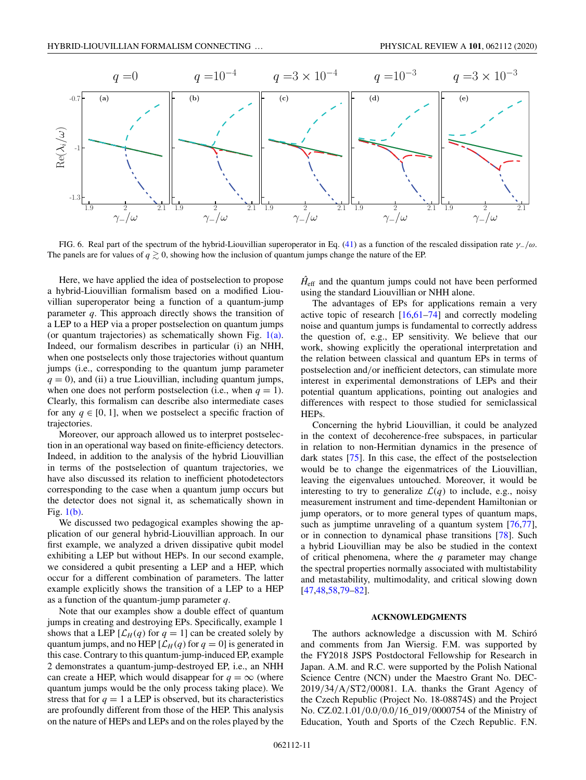<span id="page-10-0"></span>

FIG. 6. Real part of the spectrum of the hybrid-Liouvillian superoperator in Eq. [\(41\)](#page-8-0) as a function of the rescaled dissipation rate  $\gamma_-/\omega$ . The panels are for values of  $q \gtrsim 0$ , showing how the inclusion of quantum jumps change the nature of the EP.

Here, we have applied the idea of postselection to propose a hybrid-Liouvillian formalism based on a modified Liouvillian superoperator being a function of a quantum-jump parameter *q*. This approach directly shows the transition of a LEP to a HEP via a proper postselection on quantum jumps (or quantum trajectories) as schematically shown Fig.  $1(a)$ . Indeed, our formalism describes in particular (i) an NHH, when one postselects only those trajectories without quantum jumps (i.e., corresponding to the quantum jump parameter  $q = 0$ , and (ii) a true Liouvillian, including quantum jumps, when one does not perform postselection (i.e., when  $q = 1$ ). Clearly, this formalism can describe also intermediate cases for any  $q \in [0, 1]$ , when we postselect a specific fraction of trajectories.

Moreover, our approach allowed us to interpret postselection in an operational way based on finite-efficiency detectors. Indeed, in addition to the analysis of the hybrid Liouvillian in terms of the postselection of quantum trajectories, we have also discussed its relation to inefficient photodetectors corresponding to the case when a quantum jump occurs but the detector does not signal it, as schematically shown in Fig. [1\(b\).](#page-4-0)

We discussed two pedagogical examples showing the application of our general hybrid-Liouvillian approach. In our first example, we analyzed a driven dissipative qubit model exhibiting a LEP but without HEPs. In our second example, we considered a qubit presenting a LEP and a HEP, which occur for a different combination of parameters. The latter example explicitly shows the transition of a LEP to a HEP as a function of the quantum-jump parameter *q*.

Note that our examples show a double effect of quantum jumps in creating and destroying EPs. Specifically, example 1 shows that a LEP  $[\mathcal{L}_H(q)]$  for  $q = 1]$  can be created solely by quantum jumps, and no HEP  $[\mathcal{L}_H(q)]$  for  $q = 0$ ] is generated in this case. Contrary to this quantum-jump-induced EP, example 2 demonstrates a quantum-jump-destroyed EP, i.e., an NHH can create a HEP, which would disappear for  $q = \infty$  (where quantum jumps would be the only process taking place). We stress that for  $q = 1$  a LEP is observed, but its characteristics are profoundly different from those of the HEP. This analysis on the nature of HEPs and LEPs and on the roles played by the  $H<sub>eff</sub>$  and the quantum jumps could not have been performed using the standard Liouvillian or NHH alone.

The advantages of EPs for applications remain a very active topic of research  $[16,61-74]$  $[16,61-74]$  and correctly modeling noise and quantum jumps is fundamental to correctly address the question of, e.g., EP sensitivity. We believe that our work, showing explicitly the operational interpretation and the relation between classical and quantum EPs in terms of postselection and/or inefficient detectors, can stimulate more interest in experimental demonstrations of LEPs and their potential quantum applications, pointing out analogies and differences with respect to those studied for semiclassical HEPs.

Concerning the hybrid Liouvillian, it could be analyzed in the context of decoherence-free subspaces, in particular in relation to non-Hermitian dynamics in the presence of dark states [\[75\]](#page-13-0). In this case, the effect of the postselection would be to change the eigenmatrices of the Liouvillian, leaving the eigenvalues untouched. Moreover, it would be interesting to try to generalize  $\mathcal{L}(q)$  to include, e.g., noisy measurement instrument and time-dependent Hamiltonian or jump operators, or to more general types of quantum maps, such as jumptime unraveling of a quantum system [\[76,77\]](#page-13-0), or in connection to dynamical phase transitions [\[78\]](#page-13-0). Such a hybrid Liouvillian may be also be studied in the context of critical phenomena, where the *q* parameter may change the spectral properties normally associated with multistability and metastability, multimodality, and critical slowing down [\[47,48](#page-12-0)[,58,79–82\]](#page-13-0).

### **ACKNOWLEDGMENTS**

The authors acknowledge a discussion with M. Schiró and comments from Jan Wiersig. F.M. was supported by the FY2018 JSPS Postdoctoral Fellowship for Research in Japan. A.M. and R.C. were supported by the Polish National Science Centre (NCN) under the Maestro Grant No. DEC-2019/34/A/ST2/00081. I.A. thanks the Grant Agency of the Czech Republic (Project No. 18-08874S) and the Project No. CZ.02.1.01/0.0/0.0/16\_019/0000754 of the Ministry of Education, Youth and Sports of the Czech Republic. F.N.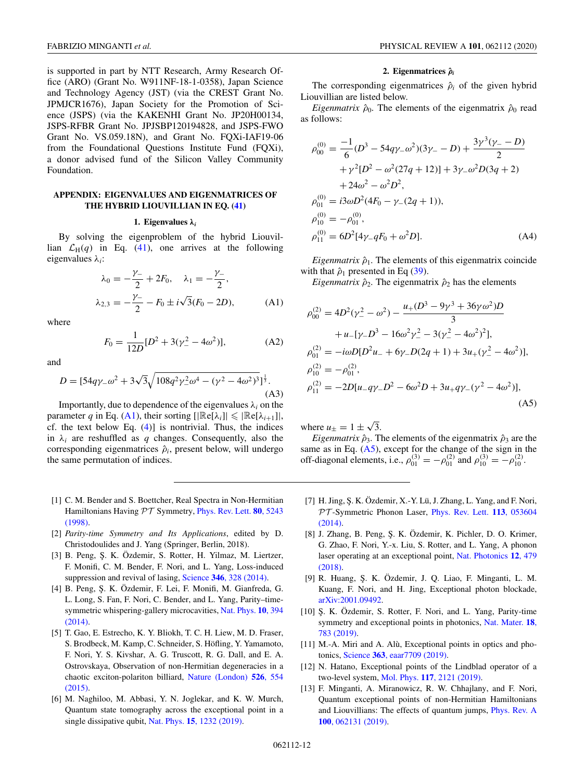<span id="page-11-0"></span>is supported in part by NTT Research, Army Research Office (ARO) (Grant No. W911NF-18-1-0358), Japan Science and Technology Agency (JST) (via the CREST Grant No. JPMJCR1676), Japan Society for the Promotion of Science (JSPS) (via the KAKENHI Grant No. JP20H00134, JSPS-RFBR Grant No. JPJSBP120194828, and JSPS-FWO Grant No. VS.059.18N), and Grant No. FQXi-IAF19-06 from the Foundational Questions Institute Fund (FQXi), a donor advised fund of the Silicon Valley Community Foundation.

# **APPENDIX: EIGENVALUES AND EIGENMATRICES OF THE HYBRID LIOUVILLIAN IN EQ. [\(41\)](#page-8-0)**

#### **1. Eigenvalues** *λ<sup>i</sup>*

By solving the eigenproblem of the hybrid Liouvillian  $\mathcal{L}_H(q)$  in Eq. [\(41\)](#page-8-0), one arrives at the following eigenvalues λ*i*:

$$
\lambda_0 = -\frac{\gamma_-}{2} + 2F_0, \quad \lambda_1 = -\frac{\gamma_-}{2},
$$
  

$$
\lambda_{2,3} = -\frac{\gamma_-}{2} - F_0 \pm i\sqrt{3}(F_0 - 2D), \quad (A1)
$$

where

$$
F_0 = \frac{1}{12D} [D^2 + 3(\gamma^2 - 4\omega^2)],
$$
 (A2)

and

$$
D = [54q\gamma_{-}\omega^{2} + 3\sqrt{3}\sqrt{108q^{2}\gamma_{-}^{2}\omega^{4} - (\gamma^{2} - 4\omega^{2})^{3}}]^{\frac{1}{3}}.
$$
\n(A3)

Importantly, due to dependence of the eigenvalues  $\lambda_i$  on the parameter *q* in Eq. (A1), their sorting  $[|\Re(e[\lambda_i]| \leq |\Re(e[\lambda_{i+1}])|,$ cf. the text below Eq.  $(4)$ ] is nontrivial. Thus, the indices in  $\lambda_i$  are reshuffled as *q* changes. Consequently, also the corresponding eigenmatrices  $\hat{\rho}_i$ , present below, will undergo the same permutation of indices.

- [1] C. M. Bender and S. Boettcher, Real Spectra in Non-Hermitian [Hamiltonians Having](https://doi.org/10.1103/PhysRevLett.80.5243) PT Symmetry, Phys. Rev. Lett. **80**, 5243 (1998).
- [2] *Parity-time Symmetry and Its Applications*, edited by D. Christodoulides and J. Yang (Springer, Berlin, 2018).
- [3] B. Peng, Ş. K. Özdemir, S. Rotter, H. Yilmaz, M. Liertzer, F. Monifi, C. M. Bender, F. Nori, and L. Yang, Loss-induced suppression and revival of lasing, Science **346**[, 328 \(2014\).](https://doi.org/10.1126/science.1258004)
- [4] B. Peng, Ş. K. Özdemir, F. Lei, F. Monifi, M. Gianfreda, G. L. Long, S. Fan, F. Nori, C. Bender, and L. Yang, Parity–time[symmetric whispering-gallery microcavities,](https://doi.org/10.1038/nphys2927) Nat. Phys. **10**, 394  $(2014)$ .
- [5] T. Gao, E. Estrecho, K. Y. Bliokh, T. C. H. Liew, M. D. Fraser, S. Brodbeck, M. Kamp, C. Schneider, S. Höfling, Y. Yamamoto, F. Nori, Y. S. Kivshar, A. G. Truscott, R. G. Dall, and E. A. Ostrovskaya, Observation of non-Hermitian degeneracies in a [chaotic exciton-polariton billiard,](https://doi.org/10.1038/nature15522) Nature (London) **526**, 554 (2015).
- [6] M. Naghiloo, M. Abbasi, Y. N. Joglekar, and K. W. Murch, Quantum state tomography across the exceptional point in a single dissipative qubit, Nat. Phys. **15**[, 1232 \(2019\).](https://doi.org/10.1038/s41567-019-0652-z)

#### **2. Eigenmatrices ˆ***ρ<sup>i</sup>*

The corresponding eigenmatrices  $\hat{\rho}_i$  of the given hybrid Liouvillian are listed below.

*Eigenmatrix*  $\hat{\rho}_0$ . The elements of the eigenmatrix  $\hat{\rho}_0$  read as follows:

$$
\rho_{00}^{(0)} = \frac{-1}{6} (D^3 - 54q\gamma_{-}\omega^2)(3\gamma_{-} - D) + \frac{3\gamma^3(\gamma_{-} - D)}{2} \n+ \gamma^2 [D^2 - \omega^2(27q + 12)] + 3\gamma_{-}\omega^2 D(3q + 2) \n+ 24\omega^2 - \omega^2 D^2, \n\rho_{01}^{(0)} = i3\omega D^2 (4F_0 - \gamma_{-}(2q + 1)), \n\rho_{10}^{(0)} = -\rho_{01}^{(0)}, \n\rho_{11}^{(0)} = 6D^2 [4\gamma_{-}qF_0 + \omega^2 D].
$$
\n(A4)

*Eigenmatrix*  $\hat{\rho}_1$ . The elements of this eigenmatrix coincide with that  $\hat{\rho}_1$  presented in Eq [\(39\)](#page-8-0).

*Eigenmatrix*  $\hat{\rho}_2$ . The eigenmatrix  $\hat{\rho}_2$  has the elements

$$
\rho_{00}^{(2)} = 4D^2(\gamma_-^2 - \omega^2) - \frac{u_+(D^3 - 9\gamma^3 + 36\gamma\omega^2)D}{3}
$$
  
+  $u_-[\gamma_-D^3 - 16\omega^2\gamma_-^2 - 3(\gamma_-^2 - 4\omega^2)^2],$   

$$
\rho_{01}^{(2)} = -i\omega D[D^2u_- + 6\gamma_-D(2q + 1) + 3u_+(\gamma_-^2 - 4\omega^2)],
$$
  

$$
\rho_{10}^{(2)} = -\rho_{01}^{(2)},
$$
  

$$
\rho_{11}^{(2)} = -2D[u_-q\gamma_-D^2 - 6\omega^2D + 3u_+q\gamma_-(\gamma^2 - 4\omega^2)],
$$
  
(A5)

where  $u_{\pm} = 1 \pm \sqrt{3}$ .

*Eigenmatrix*  $\hat{\rho}_3$ . The elements of the eigenmatrix  $\hat{\rho}_3$  are the same as in Eq.  $(A5)$ , except for the change of the sign in the off-diagonal elements, i.e.,  $\rho_{01}^{(3)} = -\rho_{01}^{(2)}$  and  $\rho_{10}^{(3)} = -\rho_{10}^{(2)}$ .

- [7] H. Jing, Ş. K. Özdemir, X.-Y. Lü, J. Zhang, L. Yang, and F. Nori, PT [-Symmetric Phonon Laser,](https://doi.org/10.1103/PhysRevLett.113.053604) Phys. Rev. Lett. **113**, 053604 (2014).
- [8] J. Zhang, B. Peng, Ş. K. Özdemir, K. Pichler, D. O. Krimer, G. Zhao, F. Nori, Y.-x. Liu, S. Rotter, and L. Yang, A phonon [laser operating at an exceptional point,](https://doi.org/10.1038/s41566-018-0213-5) Nat. Photonics **12**, 479 (2018).
- [9] R. Huang, Ş. K. Özdemir, J. Q. Liao, F. Minganti, L. M. Kuang, F. Nori, and H. Jing, Exceptional photon blockade, [arXiv:2001.09492.](http://arxiv.org/abs/arXiv:2001.09492)
- [10] Ş. K. Özdemir, S. Rotter, F. Nori, and L. Yang, Parity-time [symmetry and exceptional points in photonics,](https://doi.org/10.1038/s41563-019-0304-9) Nat. Mater. **18**, 783 (2019).
- [11] M.-A. Miri and A. Alù, Exceptional points in optics and photonics, Science **363**[, eaar7709 \(2019\).](https://doi.org/10.1126/science.aar7709)
- [12] N. Hatano, Exceptional points of the Lindblad operator of a two-level system, Mol. Phys. **117**[, 2121 \(2019\).](https://doi.org/10.1080/00268976.2019.1593535)
- [13] F. Minganti, A. Miranowicz, R. W. Chhajlany, and F. Nori, Quantum exceptional points of non-Hermitian Hamiltonians [and Liouvillians: The effects of quantum jumps,](https://doi.org/10.1103/PhysRevA.100.062131) Phys. Rev. A **100**, 062131 (2019).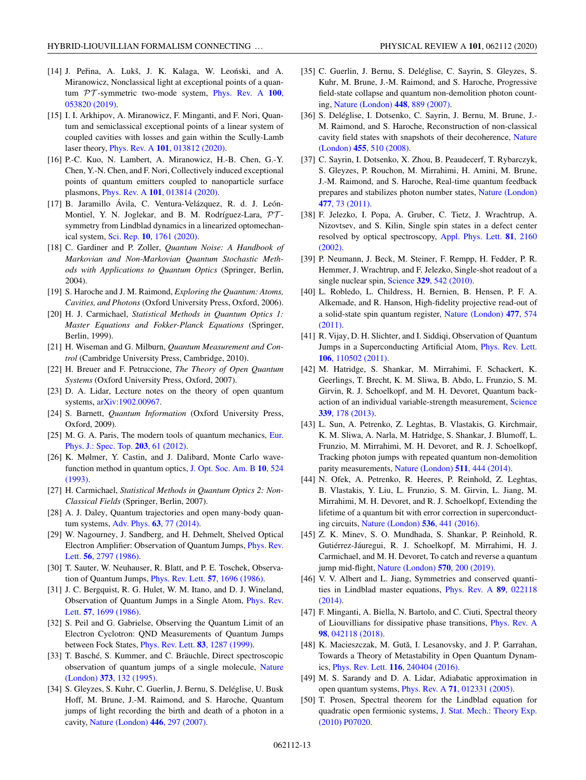- <span id="page-12-0"></span>[14] J. Peřina, A. Lukš, J. K. Kalaga, W. Leoński, and A. Miranowicz, Nonclassical light at exceptional points of a quantum PT [-symmetric two-mode system,](https://doi.org/10.1103/PhysRevA.100.053820) Phys. Rev. A **100**, 053820 (2019).
- [15] I. I. Arkhipov, A. Miranowicz, F. Minganti, and F. Nori, Quantum and semiclassical exceptional points of a linear system of coupled cavities with losses and gain within the Scully-Lamb laser theory, Phys. Rev. A **101**[, 013812 \(2020\).](https://doi.org/10.1103/PhysRevA.101.013812)
- [16] P.-C. Kuo, N. Lambert, A. Miranowicz, H.-B. Chen, G.-Y. Chen, Y.-N. Chen, and F. Nori, Collectively induced exceptional points of quantum emitters coupled to nanoparticle surface plasmons, Phys. Rev. A **101**[, 013814 \(2020\).](https://doi.org/10.1103/PhysRevA.101.013814)
- [17] B. Jaramillo Ávila, C. Ventura-Velázquez, R. d. J. León-Montiel, Y. N. Joglekar, and B. M. Rodríguez-Lara,  $\mathcal{PT}$ symmetry from Lindblad dynamics in a linearized optomechanical system, Sci. Rep. **10**[, 1761 \(2020\).](https://doi.org/10.1038/s41598-020-58582-7)
- [18] C. Gardiner and P. Zoller, *Quantum Noise: A Handbook of Markovian and Non-Markovian Quantum Stochastic Methods with Applications to Quantum Optics* (Springer, Berlin, 2004).
- [19] S. Haroche and J. M. Raimond, *Exploring the Quantum: Atoms, Cavities, and Photons* (Oxford University Press, Oxford, 2006).
- [20] H. J. Carmichael, *Statistical Methods in Quantum Optics 1: Master Equations and Fokker-Planck Equations* (Springer, Berlin, 1999).
- [21] H. Wiseman and G. Milburn, *Quantum Measurement and Control* (Cambridge University Press, Cambridge, 2010).
- [22] H. Breuer and F. Petruccione, *The Theory of Open Quantum Systems* (Oxford University Press, Oxford, 2007).
- [23] D. A. Lidar, Lecture notes on the theory of open quantum systems, [arXiv:1902.00967.](http://arxiv.org/abs/arXiv:1902.00967)
- [24] S. Barnett, *Quantum Information* (Oxford University Press, Oxford, 2009).
- [25] [M. G. A. Paris, The modern tools of quantum mechanics,](https://doi.org/10.1140/epjst/e2012-01535-1) Eur. Phys. J.: Spec. Top. **203**, 61 (2012).
- [26] K. Mølmer, Y. Castin, and J. Dalibard, Monte Carlo wave[function method in quantum optics,](https://doi.org/10.1364/JOSAB.10.000524) J. Opt. Soc. Am. B **10**, 524 (1993).
- [27] H. Carmichael, *Statistical Methods in Quantum Optics 2: Non-Classical Fields* (Springer, Berlin, 2007).
- [28] A. J. Daley, Quantum trajectories and open many-body quantum systems, Adv. Phys. **63**[, 77 \(2014\).](https://doi.org/10.1080/00018732.2014.933502)
- [29] W. Nagourney, J. Sandberg, and H. Dehmelt, Shelved Optical [Electron Amplifier: Observation of Quantum Jumps,](https://doi.org/10.1103/PhysRevLett.56.2797) Phys. Rev. Lett. **56**, 2797 (1986).
- [30] T. Sauter, W. Neuhauser, R. Blatt, and P. E. Toschek, Observation of Quantum Jumps, [Phys. Rev. Lett.](https://doi.org/10.1103/PhysRevLett.57.1696) **57**, 1696 (1986).
- [31] J. C. Bergquist, R. G. Hulet, W. M. Itano, and D. J. Wineland, [Observation of Quantum Jumps in a Single Atom,](https://doi.org/10.1103/PhysRevLett.57.1699) Phys. Rev. Lett. **57**, 1699 (1986).
- [32] S. Peil and G. Gabrielse, Observing the Quantum Limit of an Electron Cyclotron: QND Measurements of Quantum Jumps between Fock States, [Phys. Rev. Lett.](https://doi.org/10.1103/PhysRevLett.83.1287) **83**, 1287 (1999).
- [33] T. Basché, S. Kummer, and C. Bräuchle, Direct spectroscopic [observation of quantum jumps of a single molecule,](https://doi.org/10.1038/373132a0) Nature (London) **373**, 132 (1995).
- [34] S. Gleyzes, S. Kuhr, C. Guerlin, J. Bernu, S. Deléglise, U. Busk Hoff, M. Brune, J.-M. Raimond, and S. Haroche, Quantum jumps of light recording the birth and death of a photon in a cavity, [Nature \(London\)](https://doi.org/10.1038/nature05589) **446**, 297 (2007).
- [35] C. Guerlin, J. Bernu, S. Deléglise, C. Sayrin, S. Gleyzes, S. Kuhr, M. Brune, J.-M. Raimond, and S. Haroche, Progressive field-state collapse and quantum non-demolition photon counting, [Nature \(London\)](https://doi.org/10.1038/nature06057) **448**, 889 (2007).
- [36] S. Deléglise, I. Dotsenko, C. Sayrin, J. Bernu, M. Brune, J.- M. Raimond, and S. Haroche, Reconstruction of non-classical [cavity field states with snapshots of their decoherence,](https://doi.org/10.1038/nature07288) Nature (London) **455**, 510 (2008).
- [37] C. Sayrin, I. Dotsenko, X. Zhou, B. Peaudecerf, T. Rybarczyk, S. Gleyzes, P. Rouchon, M. Mirrahimi, H. Amini, M. Brune, J.-M. Raimond, and S. Haroche, Real-time quantum feedback [prepares and stabilizes photon number states,](https://doi.org/10.1038/nature10376) Nature (London) **477**, 73 (2011).
- [38] F. Jelezko, I. Popa, A. Gruber, C. Tietz, J. Wrachtrup, A. Nizovtsev, and S. Kilin, Single spin states in a defect center [resolved by optical spectroscopy,](https://doi.org/10.1063/1.1507838) Appl. Phys. Lett. **81**, 2160 (2002).
- [39] P. Neumann, J. Beck, M. Steiner, F. Rempp, H. Fedder, P. R. Hemmer, J. Wrachtrup, and F. Jelezko, Single-shot readout of a single nuclear spin, Science **329**[, 542 \(2010\).](https://doi.org/10.1126/science.1189075)
- [40] L. Robledo, L. Childress, H. Bernien, B. Hensen, P. F. A. Alkemade, and R. Hanson, High-fidelity projective read-out of [a solid-state spin quantum register,](https://doi.org/10.1038/nature10401) Nature (London) **477**, 574 (2011).
- [41] R. Vijay, D. H. Slichter, and I. Siddiqi, Observation of Quantum [Jumps in a Superconducting Artificial Atom,](https://doi.org/10.1103/PhysRevLett.106.110502) Phys. Rev. Lett. **106**, 110502 (2011).
- [42] M. Hatridge, S. Shankar, M. Mirrahimi, F. Schackert, K. Geerlings, T. Brecht, K. M. Sliwa, B. Abdo, L. Frunzio, S. M. Girvin, R. J. Schoelkopf, and M. H. Devoret, Quantum back[action of an individual variable-strength measurement,](https://doi.org/10.1126/science.1226897) Science **339**, 178 (2013).
- [43] L. Sun, A. Petrenko, Z. Leghtas, B. Vlastakis, G. Kirchmair, K. M. Sliwa, A. Narla, M. Hatridge, S. Shankar, J. Blumoff, L. Frunzio, M. Mirrahimi, M. H. Devoret, and R. J. Schoelkopf, Tracking photon jumps with repeated quantum non-demolition parity measurements, [Nature \(London\)](https://doi.org/10.1038/nature13436) **511**, 444 (2014).
- [44] N. Ofek, A. Petrenko, R. Heeres, P. Reinhold, Z. Leghtas, B. Vlastakis, Y. Liu, L. Frunzio, S. M. Girvin, L. Jiang, M. Mirrahimi, M. H. Devoret, and R. J. Schoelkopf, Extending the lifetime of a quantum bit with error correction in superconducting circuits, [Nature \(London\)](https://doi.org/10.1038/nature18949) **536**, 441 (2016).
- [45] Z. K. Minev, S. O. Mundhada, S. Shankar, P. Reinhold, R. Gutiérrez-Jáuregui, R. J. Schoelkopf, M. Mirrahimi, H. J. Carmichael, and M. H. Devoret, To catch and reverse a quantum jump mid-flight, [Nature \(London\)](https://doi.org/10.1038/s41586-019-1287-z) **570**, 200 (2019).
- [46] V. V. Albert and L. Jiang, Symmetries and conserved quanti[ties in Lindblad master equations,](https://doi.org/10.1103/PhysRevA.89.022118) Phys. Rev. A **89**, 022118 (2014).
- [47] F. Minganti, A. Biella, N. Bartolo, and C. Ciuti, Spectral theory [of Liouvillians for dissipative phase transitions,](https://doi.org/10.1103/PhysRevA.98.042118) Phys. Rev. A **98**, 042118 (2018).
- [48] K. Macieszczak, M. Gută, I. Lesanovsky, and J. P. Garrahan, Towards a Theory of Metastability in Open Quantum Dynamics, Phys. Rev. Lett. **116**[, 240404 \(2016\).](https://doi.org/10.1103/PhysRevLett.116.240404)
- [49] M. S. Sarandy and D. A. Lidar, Adiabatic approximation in open quantum systems, Phys. Rev. A **71**[, 012331 \(2005\).](https://doi.org/10.1103/PhysRevA.71.012331)
- [50] T. Prosen, Spectral theorem for the Lindblad equation for [quadratic open fermionic systems,](https://doi.org/10.1088/1742-5468/2010/07/p07020) J. Stat. Mech.: Theory Exp. (2010) P07020.